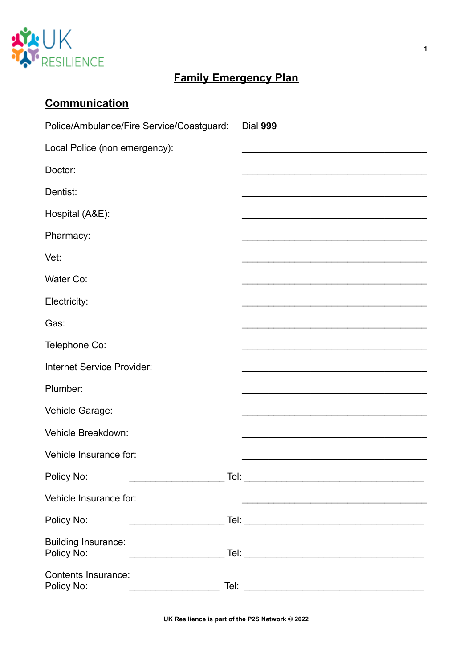

# **Family Emergency Plan**

| <b>Communication</b>                                                                                                                                                                                                                                                                                                                                                                                                                                                                                                               |          |
|------------------------------------------------------------------------------------------------------------------------------------------------------------------------------------------------------------------------------------------------------------------------------------------------------------------------------------------------------------------------------------------------------------------------------------------------------------------------------------------------------------------------------------|----------|
| Police/Ambulance/Fire Service/Coastguard:                                                                                                                                                                                                                                                                                                                                                                                                                                                                                          | Dial 999 |
| Local Police (non emergency):                                                                                                                                                                                                                                                                                                                                                                                                                                                                                                      |          |
| Doctor:                                                                                                                                                                                                                                                                                                                                                                                                                                                                                                                            |          |
| Dentist:                                                                                                                                                                                                                                                                                                                                                                                                                                                                                                                           |          |
| Hospital (A&E):                                                                                                                                                                                                                                                                                                                                                                                                                                                                                                                    |          |
| Pharmacy:                                                                                                                                                                                                                                                                                                                                                                                                                                                                                                                          |          |
| Vet:                                                                                                                                                                                                                                                                                                                                                                                                                                                                                                                               |          |
| Water Co:                                                                                                                                                                                                                                                                                                                                                                                                                                                                                                                          |          |
| Electricity:                                                                                                                                                                                                                                                                                                                                                                                                                                                                                                                       |          |
| Gas:                                                                                                                                                                                                                                                                                                                                                                                                                                                                                                                               |          |
| Telephone Co:                                                                                                                                                                                                                                                                                                                                                                                                                                                                                                                      |          |
| Internet Service Provider:                                                                                                                                                                                                                                                                                                                                                                                                                                                                                                         |          |
| Plumber:                                                                                                                                                                                                                                                                                                                                                                                                                                                                                                                           |          |
| Vehicle Garage:                                                                                                                                                                                                                                                                                                                                                                                                                                                                                                                    |          |
| Vehicle Breakdown:                                                                                                                                                                                                                                                                                                                                                                                                                                                                                                                 |          |
| Vehicle Insurance for:                                                                                                                                                                                                                                                                                                                                                                                                                                                                                                             |          |
| Policy No:                                                                                                                                                                                                                                                                                                                                                                                                                                                                                                                         |          |
| Vehicle Insurance for:                                                                                                                                                                                                                                                                                                                                                                                                                                                                                                             |          |
| Policy No:                                                                                                                                                                                                                                                                                                                                                                                                                                                                                                                         |          |
| <b>Building Insurance:</b><br>Policy No:<br>$\begin{array}{cccccccccc} \multicolumn{2}{c}{} & \multicolumn{2}{c}{} & \multicolumn{2}{c}{} & \multicolumn{2}{c}{} & \multicolumn{2}{c}{} & \multicolumn{2}{c}{} & \multicolumn{2}{c}{} & \multicolumn{2}{c}{} & \multicolumn{2}{c}{} & \multicolumn{2}{c}{} & \multicolumn{2}{c}{} & \multicolumn{2}{c}{} & \multicolumn{2}{c}{} & \multicolumn{2}{c}{} & \multicolumn{2}{c}{} & \multicolumn{2}{c}{} & \multicolumn{2}{c}{} & \multicolumn{2}{c}{} & \multicolumn{2}{c}{} & \mult$ |          |
| <b>Contents Insurance:</b><br>Policy No:<br><u> 1980 - Jan Barbarat, manala</u>                                                                                                                                                                                                                                                                                                                                                                                                                                                    |          |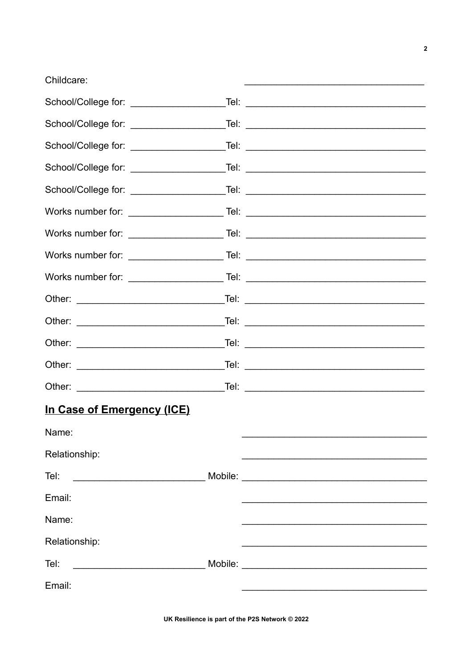#### Childcare:

|                            | School/College for: _________________________Tel: ______________________________  |
|----------------------------|-----------------------------------------------------------------------------------|
|                            | School/College for: _________________________Tel: ______________________________  |
|                            | School/College for: ________________________Tel: _______________________________  |
|                            | School/College for: ________________________Tel: _______________________________  |
|                            | School/College for: __________________________Tel: _____________________________  |
|                            | Works number for: ____________________________Tel: ______________________________ |
|                            | Works number for: ____________________________Tel: _____________________________  |
|                            | Works number for: ___________________________Tel: ______________________________  |
|                            | Works number for: ____________________________Tel: _____________________________  |
|                            |                                                                                   |
|                            |                                                                                   |
|                            |                                                                                   |
|                            |                                                                                   |
|                            |                                                                                   |
| In Case of Emergency (ICE) |                                                                                   |
| Name:                      |                                                                                   |
| Relationship:              |                                                                                   |
| Tel:                       |                                                                                   |
| Email:                     |                                                                                   |
| Name:                      |                                                                                   |
| Relationship:              |                                                                                   |
| Tel:                       |                                                                                   |
| Email:                     |                                                                                   |
|                            |                                                                                   |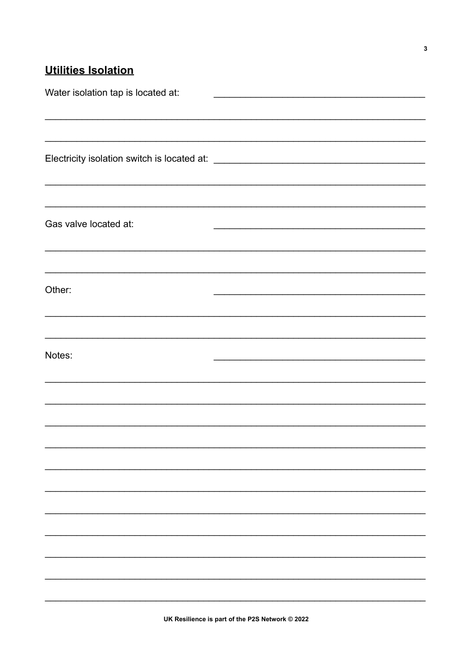# **Utilities Isolation**

| Water isolation tap is located at: |                                                                                   |
|------------------------------------|-----------------------------------------------------------------------------------|
|                                    |                                                                                   |
|                                    |                                                                                   |
|                                    |                                                                                   |
|                                    |                                                                                   |
|                                    |                                                                                   |
| Gas valve located at:              |                                                                                   |
|                                    |                                                                                   |
|                                    |                                                                                   |
| Other:                             |                                                                                   |
|                                    | ,我们也不能在这里的人,我们也不能在这里的人,我们也不能在这里的人,我们也不能在这里的人,我们也不能在这里的人,我们也不能在这里的人,我们也不能在这里的人,我们也 |
|                                    |                                                                                   |
| Notes:                             |                                                                                   |
|                                    |                                                                                   |
|                                    |                                                                                   |
|                                    |                                                                                   |
|                                    |                                                                                   |
|                                    |                                                                                   |
|                                    |                                                                                   |
|                                    |                                                                                   |
|                                    |                                                                                   |
|                                    |                                                                                   |
|                                    |                                                                                   |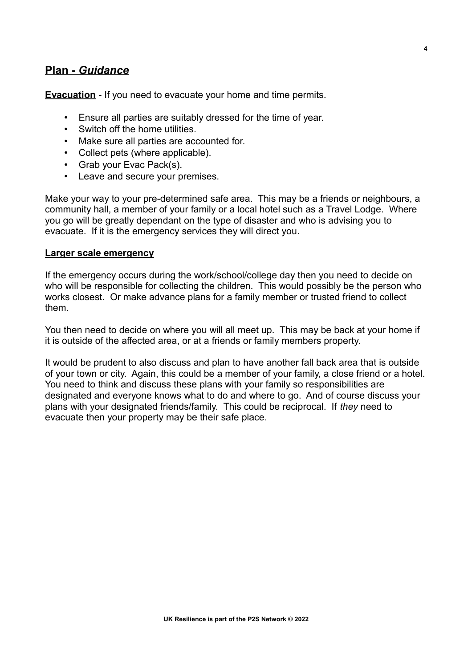### **Plan -***Guidance*

**Evacuation** - If you need to evacuate your home and time permits.

- Ensure all parties are suitably dressed for the time of year.
- Switch off the home utilities
- Make sure all parties are accounted for.
- Collect pets (where applicable).
- Grab your Evac Pack(s).
- Leave and secure your premises.

Make your way to your pre-determined safe area. This may be a friends or neighbours, a community hall, a member of your family or a local hotel such as a Travel Lodge. Where you go will be greatly dependant on the type of disaster and who is advising you to evacuate. If it is the emergency services they will direct you.

#### **Larger scale emergency**

If the emergency occurs during the work/school/college day then you need to decide on who will be responsible for collecting the children. This would possibly be the person who works closest. Or make advance plans for a family member or trusted friend to collect them.

You then need to decide on where you will all meet up. This may be back at your home if it is outside of the affected area, or at a friends or family members property.

It would be prudent to also discuss and plan to have another fall back area that is outside of your town or city. Again, this could be a member of your family, a close friend or a hotel. You need to think and discuss these plans with your family so responsibilities are designated and everyone knows what to do and where to go. And of course discuss your plans with your designated friends/family. This could be reciprocal. If *they* need to evacuate then your property may be their safe place.